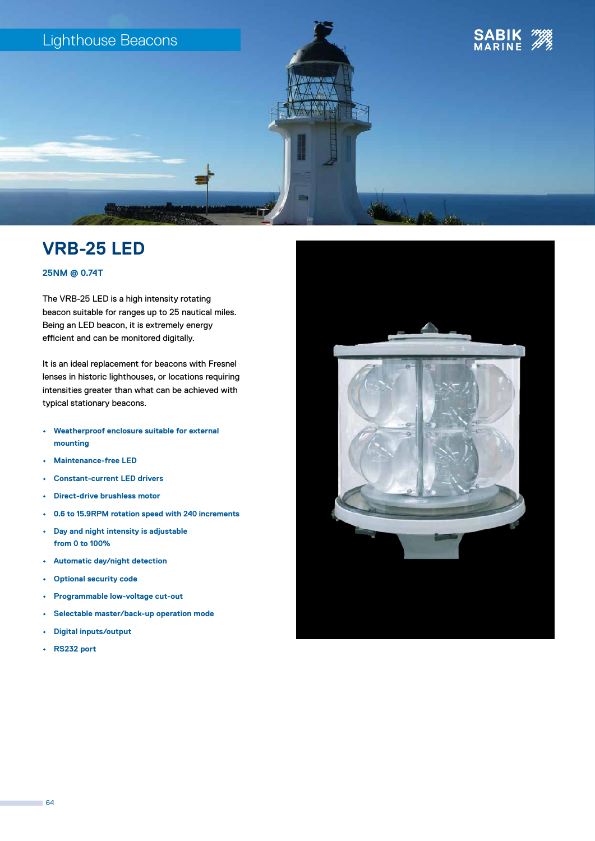

# **VRB-25 LED**

### **25NM @ 0.74T**

The VRB-25 LED is a high intensity rotating beacon suitable for ranges up to 25 nautical miles. Being an LED beacon, it is extremely energy efficient and can be monitored digitally.

It is an ideal replacement for beacons with Fresnel lenses in historic lighthouses, or locations requiring intensities greater than what can be achieved with typical stationary beacons.

- **• Weatherproof enclosure suitable for external mounting**
- **• Maintenance-free LED**
- **• Constant-current LED drivers**
- **• Direct-drive brushless motor**
- **• 0.6 to 15.9RPM rotation speed with 240 increments**
- **• Day and night intensity is adjustable from 0 to 100%**
- **• Automatic day/night detection**
- **• Optional security code**
- **• Programmable low-voltage cut-out**
- **• Selectable master/back-up operation mode**
- **• Digital inputs/output**
- **• RS232 port**